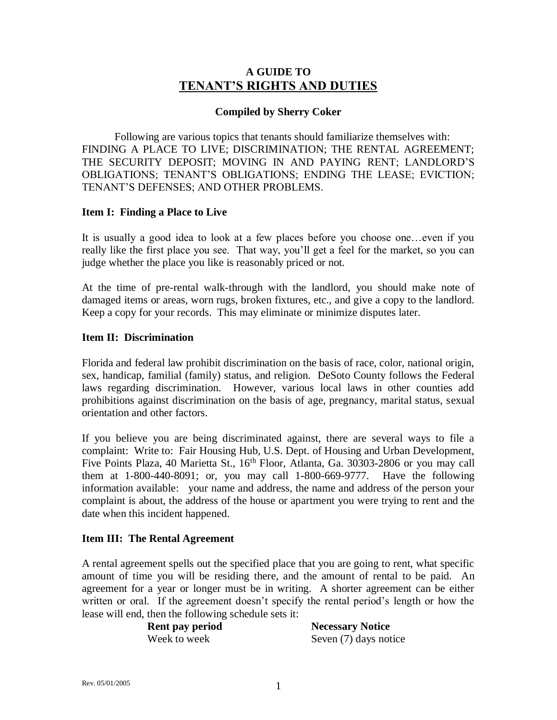# **A GUIDE TO TENANT'S RIGHTS AND DUTIES**

#### **Compiled by Sherry Coker**

Following are various topics that tenants should familiarize themselves with: FINDING A PLACE TO LIVE; DISCRIMINATION; THE RENTAL AGREEMENT; THE SECURITY DEPOSIT; MOVING IN AND PAYING RENT; LANDLORD'S OBLIGATIONS; TENANT'S OBLIGATIONS; ENDING THE LEASE; EVICTION; TENANT'S DEFENSES; AND OTHER PROBLEMS.

#### **Item I: Finding a Place to Live**

It is usually a good idea to look at a few places before you choose one…even if you really like the first place you see. That way, you'll get a feel for the market, so you can judge whether the place you like is reasonably priced or not.

At the time of pre-rental walk-through with the landlord, you should make note of damaged items or areas, worn rugs, broken fixtures, etc., and give a copy to the landlord. Keep a copy for your records. This may eliminate or minimize disputes later.

#### **Item II: Discrimination**

Florida and federal law prohibit discrimination on the basis of race, color, national origin, sex, handicap, familial (family) status, and religion. DeSoto County follows the Federal laws regarding discrimination. However, various local laws in other counties add prohibitions against discrimination on the basis of age, pregnancy, marital status, sexual orientation and other factors.

If you believe you are being discriminated against, there are several ways to file a complaint: Write to: Fair Housing Hub, U.S. Dept. of Housing and Urban Development, Five Points Plaza, 40 Marietta St., 16<sup>th</sup> Floor, Atlanta, Ga. 30303-2806 or you may call them at 1-800-440-8091; or, you may call 1-800-669-9777. Have the following information available: your name and address, the name and address of the person your complaint is about, the address of the house or apartment you were trying to rent and the date when this incident happened.

#### **Item III: The Rental Agreement**

A rental agreement spells out the specified place that you are going to rent, what specific amount of time you will be residing there, and the amount of rental to be paid. An agreement for a year or longer must be in writing. A shorter agreement can be either written or oral. If the agreement doesn't specify the rental period's length or how the lease will end, then the following schedule sets it:

**Rent pay period Necessary Notice** Week to week Seven (7) days notice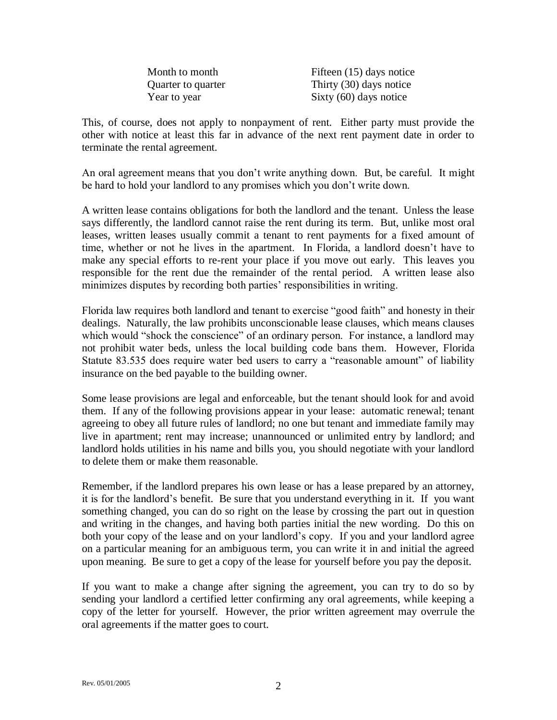| Month to month     | Fifteen (15) days notice |
|--------------------|--------------------------|
| Quarter to quarter | Thirty (30) days notice  |
| Year to year       | Sixty $(60)$ days notice |

This, of course, does not apply to nonpayment of rent. Either party must provide the other with notice at least this far in advance of the next rent payment date in order to terminate the rental agreement.

An oral agreement means that you don't write anything down. But, be careful. It might be hard to hold your landlord to any promises which you don't write down.

A written lease contains obligations for both the landlord and the tenant. Unless the lease says differently, the landlord cannot raise the rent during its term. But, unlike most oral leases, written leases usually commit a tenant to rent payments for a fixed amount of time, whether or not he lives in the apartment. In Florida, a landlord doesn't have to make any special efforts to re-rent your place if you move out early. This leaves you responsible for the rent due the remainder of the rental period. A written lease also minimizes disputes by recording both parties' responsibilities in writing.

Florida law requires both landlord and tenant to exercise "good faith" and honesty in their dealings. Naturally, the law prohibits unconscionable lease clauses, which means clauses which would "shock the conscience" of an ordinary person. For instance, a landlord may not prohibit water beds, unless the local building code bans them. However, Florida Statute 83.535 does require water bed users to carry a "reasonable amount" of liability insurance on the bed payable to the building owner.

Some lease provisions are legal and enforceable, but the tenant should look for and avoid them. If any of the following provisions appear in your lease: automatic renewal; tenant agreeing to obey all future rules of landlord; no one but tenant and immediate family may live in apartment; rent may increase; unannounced or unlimited entry by landlord; and landlord holds utilities in his name and bills you, you should negotiate with your landlord to delete them or make them reasonable.

Remember, if the landlord prepares his own lease or has a lease prepared by an attorney, it is for the landlord's benefit. Be sure that you understand everything in it. If you want something changed, you can do so right on the lease by crossing the part out in question and writing in the changes, and having both parties initial the new wording. Do this on both your copy of the lease and on your landlord's copy. If you and your landlord agree on a particular meaning for an ambiguous term, you can write it in and initial the agreed upon meaning. Be sure to get a copy of the lease for yourself before you pay the deposit.

If you want to make a change after signing the agreement, you can try to do so by sending your landlord a certified letter confirming any oral agreements, while keeping a copy of the letter for yourself. However, the prior written agreement may overrule the oral agreements if the matter goes to court.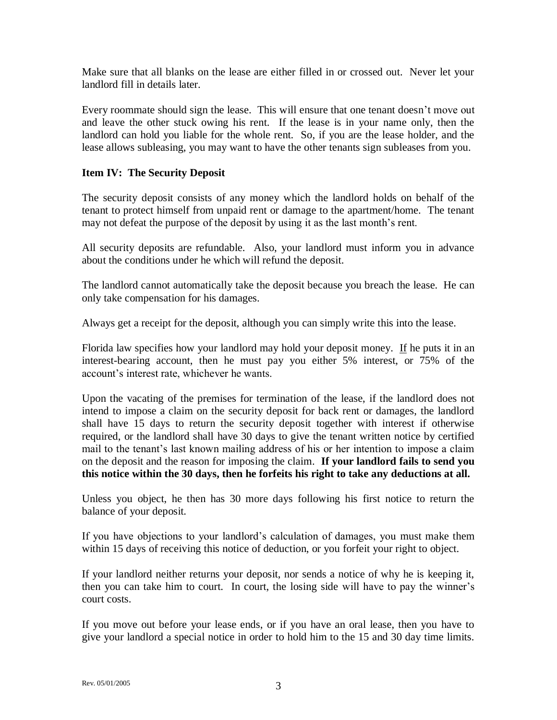Make sure that all blanks on the lease are either filled in or crossed out. Never let your landlord fill in details later.

Every roommate should sign the lease. This will ensure that one tenant doesn't move out and leave the other stuck owing his rent. If the lease is in your name only, then the landlord can hold you liable for the whole rent. So, if you are the lease holder, and the lease allows subleasing, you may want to have the other tenants sign subleases from you.

### **Item IV: The Security Deposit**

The security deposit consists of any money which the landlord holds on behalf of the tenant to protect himself from unpaid rent or damage to the apartment/home. The tenant may not defeat the purpose of the deposit by using it as the last month's rent.

All security deposits are refundable. Also, your landlord must inform you in advance about the conditions under he which will refund the deposit.

The landlord cannot automatically take the deposit because you breach the lease. He can only take compensation for his damages.

Always get a receipt for the deposit, although you can simply write this into the lease.

Florida law specifies how your landlord may hold your deposit money. If he puts it in an interest-bearing account, then he must pay you either 5% interest, or 75% of the account's interest rate, whichever he wants.

Upon the vacating of the premises for termination of the lease, if the landlord does not intend to impose a claim on the security deposit for back rent or damages, the landlord shall have 15 days to return the security deposit together with interest if otherwise required, or the landlord shall have 30 days to give the tenant written notice by certified mail to the tenant's last known mailing address of his or her intention to impose a claim on the deposit and the reason for imposing the claim. **If your landlord fails to send you this notice within the 30 days, then he forfeits his right to take any deductions at all.**

Unless you object, he then has 30 more days following his first notice to return the balance of your deposit.

If you have objections to your landlord's calculation of damages, you must make them within 15 days of receiving this notice of deduction, or you forfeit your right to object.

If your landlord neither returns your deposit, nor sends a notice of why he is keeping it, then you can take him to court. In court, the losing side will have to pay the winner's court costs.

If you move out before your lease ends, or if you have an oral lease, then you have to give your landlord a special notice in order to hold him to the 15 and 30 day time limits.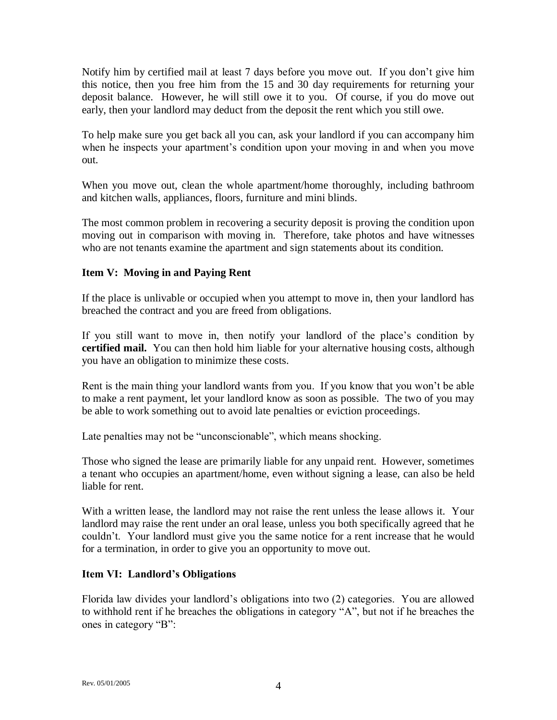Notify him by certified mail at least 7 days before you move out. If you don't give him this notice, then you free him from the 15 and 30 day requirements for returning your deposit balance. However, he will still owe it to you. Of course, if you do move out early, then your landlord may deduct from the deposit the rent which you still owe.

To help make sure you get back all you can, ask your landlord if you can accompany him when he inspects your apartment's condition upon your moving in and when you move out.

When you move out, clean the whole apartment/home thoroughly, including bathroom and kitchen walls, appliances, floors, furniture and mini blinds.

The most common problem in recovering a security deposit is proving the condition upon moving out in comparison with moving in. Therefore, take photos and have witnesses who are not tenants examine the apartment and sign statements about its condition.

### **Item V: Moving in and Paying Rent**

If the place is unlivable or occupied when you attempt to move in, then your landlord has breached the contract and you are freed from obligations.

If you still want to move in, then notify your landlord of the place's condition by **certified mail.** You can then hold him liable for your alternative housing costs, although you have an obligation to minimize these costs.

Rent is the main thing your landlord wants from you. If you know that you won't be able to make a rent payment, let your landlord know as soon as possible. The two of you may be able to work something out to avoid late penalties or eviction proceedings.

Late penalties may not be "unconscionable", which means shocking.

Those who signed the lease are primarily liable for any unpaid rent. However, sometimes a tenant who occupies an apartment/home, even without signing a lease, can also be held liable for rent.

With a written lease, the landlord may not raise the rent unless the lease allows it. Your landlord may raise the rent under an oral lease, unless you both specifically agreed that he couldn't. Your landlord must give you the same notice for a rent increase that he would for a termination, in order to give you an opportunity to move out.

#### **Item VI: Landlord's Obligations**

Florida law divides your landlord's obligations into two (2) categories. You are allowed to withhold rent if he breaches the obligations in category "A", but not if he breaches the ones in category "B":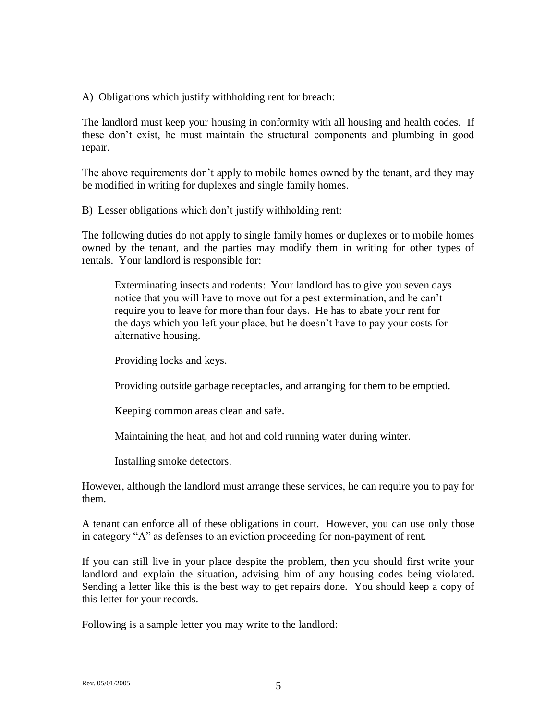A) Obligations which justify withholding rent for breach:

The landlord must keep your housing in conformity with all housing and health codes. If these don't exist, he must maintain the structural components and plumbing in good repair.

The above requirements don't apply to mobile homes owned by the tenant, and they may be modified in writing for duplexes and single family homes.

B) Lesser obligations which don't justify withholding rent:

The following duties do not apply to single family homes or duplexes or to mobile homes owned by the tenant, and the parties may modify them in writing for other types of rentals. Your landlord is responsible for:

Exterminating insects and rodents: Your landlord has to give you seven days notice that you will have to move out for a pest extermination, and he can't require you to leave for more than four days. He has to abate your rent for the days which you left your place, but he doesn't have to pay your costs for alternative housing.

Providing locks and keys.

Providing outside garbage receptacles, and arranging for them to be emptied.

Keeping common areas clean and safe.

Maintaining the heat, and hot and cold running water during winter.

Installing smoke detectors.

However, although the landlord must arrange these services, he can require you to pay for them.

A tenant can enforce all of these obligations in court. However, you can use only those in category "A" as defenses to an eviction proceeding for non-payment of rent.

If you can still live in your place despite the problem, then you should first write your landlord and explain the situation, advising him of any housing codes being violated. Sending a letter like this is the best way to get repairs done. You should keep a copy of this letter for your records.

Following is a sample letter you may write to the landlord: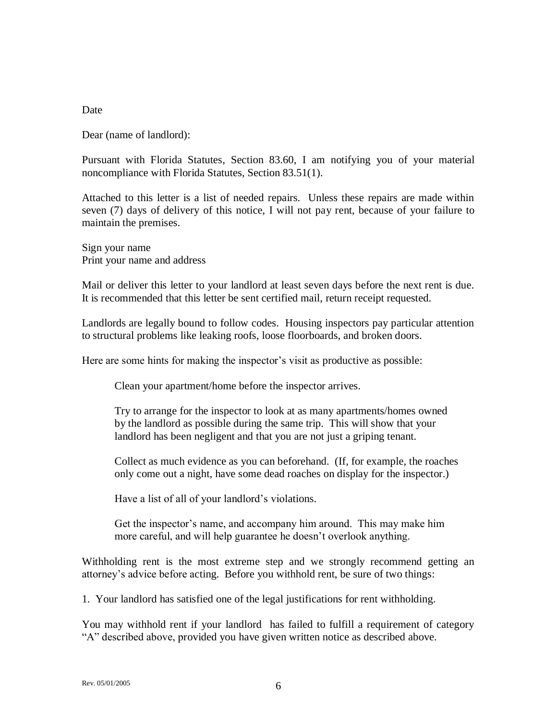#### **Date**

Dear (name of landlord):

Pursuant with Florida Statutes, Section 83.60, I am notifying you of your material noncompliance with Florida Statutes, Section 83.51(1).

Attached to this letter is a list of needed repairs. Unless these repairs are made within seven (7) days of delivery of this notice, I will not pay rent, because of your failure to maintain the premises.

Sign your name Print your name and address

Mail or deliver this letter to your landlord at least seven days before the next rent is due. It is recommended that this letter be sent certified mail, return receipt requested.

Landlords are legally bound to follow codes. Housing inspectors pay particular attention to structural problems like leaking roofs, loose floorboards, and broken doors.

Here are some hints for making the inspector's visit as productive as possible:

Clean your apartment/home before the inspector arrives.

Try to arrange for the inspector to look at as many apartments/homes owned by the landlord as possible during the same trip. This will show that your landlord has been negligent and that you are not just a griping tenant.

Collect as much evidence as you can beforehand. (If, for example, the roaches only come out a night, have some dead roaches on display for the inspector.)

Have a list of all of your landlord's violations.

Get the inspector's name, and accompany him around. This may make him more careful, and will help guarantee he doesn't overlook anything.

Withholding rent is the most extreme step and we strongly recommend getting an attorney's advice before acting. Before you withhold rent, be sure of two things:

1. Your landlord has satisfied one of the legal justifications for rent withholding.

You may withhold rent if your landlord has failed to fulfill a requirement of category "A" described above, provided you have given written notice as described above.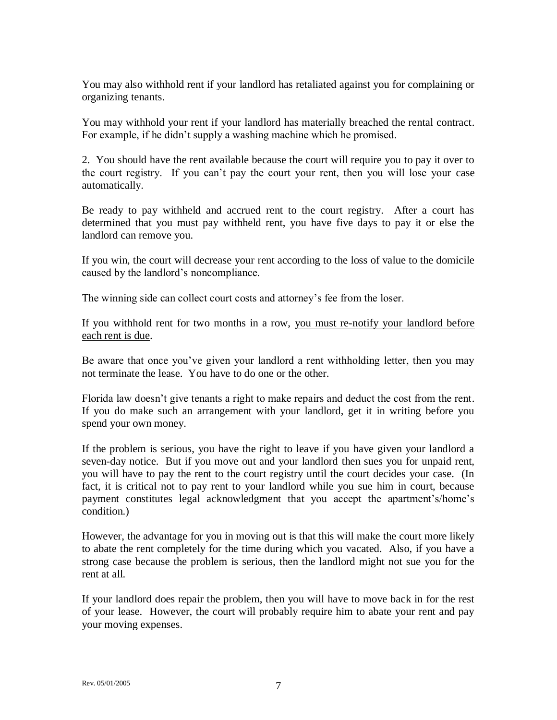You may also withhold rent if your landlord has retaliated against you for complaining or organizing tenants.

You may withhold your rent if your landlord has materially breached the rental contract. For example, if he didn't supply a washing machine which he promised.

2. You should have the rent available because the court will require you to pay it over to the court registry. If you can't pay the court your rent, then you will lose your case automatically.

Be ready to pay withheld and accrued rent to the court registry. After a court has determined that you must pay withheld rent, you have five days to pay it or else the landlord can remove you.

If you win, the court will decrease your rent according to the loss of value to the domicile caused by the landlord's noncompliance.

The winning side can collect court costs and attorney's fee from the loser.

If you withhold rent for two months in a row, you must re-notify your landlord before each rent is due.

Be aware that once you've given your landlord a rent withholding letter, then you may not terminate the lease. You have to do one or the other.

Florida law doesn't give tenants a right to make repairs and deduct the cost from the rent. If you do make such an arrangement with your landlord, get it in writing before you spend your own money.

If the problem is serious, you have the right to leave if you have given your landlord a seven-day notice. But if you move out and your landlord then sues you for unpaid rent, you will have to pay the rent to the court registry until the court decides your case. (In fact, it is critical not to pay rent to your landlord while you sue him in court, because payment constitutes legal acknowledgment that you accept the apartment's/home's condition.)

However, the advantage for you in moving out is that this will make the court more likely to abate the rent completely for the time during which you vacated. Also, if you have a strong case because the problem is serious, then the landlord might not sue you for the rent at all.

If your landlord does repair the problem, then you will have to move back in for the rest of your lease. However, the court will probably require him to abate your rent and pay your moving expenses.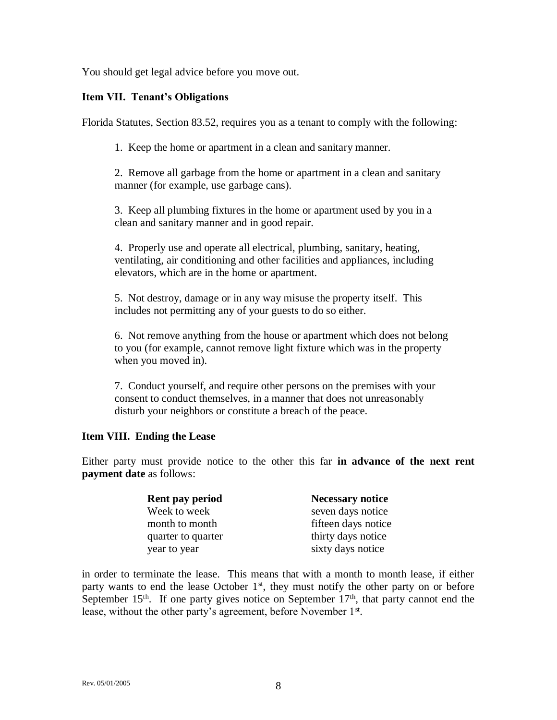You should get legal advice before you move out.

### **Item VII. Tenant's Obligations**

Florida Statutes, Section 83.52, requires you as a tenant to comply with the following:

1. Keep the home or apartment in a clean and sanitary manner.

2. Remove all garbage from the home or apartment in a clean and sanitary manner (for example, use garbage cans).

3. Keep all plumbing fixtures in the home or apartment used by you in a clean and sanitary manner and in good repair.

4. Properly use and operate all electrical, plumbing, sanitary, heating, ventilating, air conditioning and other facilities and appliances, including elevators, which are in the home or apartment.

5. Not destroy, damage or in any way misuse the property itself. This includes not permitting any of your guests to do so either.

6. Not remove anything from the house or apartment which does not belong to you (for example, cannot remove light fixture which was in the property when you moved in).

7. Conduct yourself, and require other persons on the premises with your consent to conduct themselves, in a manner that does not unreasonably disturb your neighbors or constitute a breach of the peace.

#### **Item VIII. Ending the Lease**

Either party must provide notice to the other this far **in advance of the next rent payment date** as follows:

| Rent pay period    | <b>Necessary notice</b> |
|--------------------|-------------------------|
| Week to week       | seven days notice       |
| month to month     | fifteen days notice     |
| quarter to quarter | thirty days notice      |
| year to year       | sixty days notice       |

in order to terminate the lease. This means that with a month to month lease, if either party wants to end the lease October  $1<sup>st</sup>$ , they must notify the other party on or before September  $15<sup>th</sup>$ . If one party gives notice on September  $17<sup>th</sup>$ , that party cannot end the lease, without the other party's agreement, before November 1<sup>st</sup>.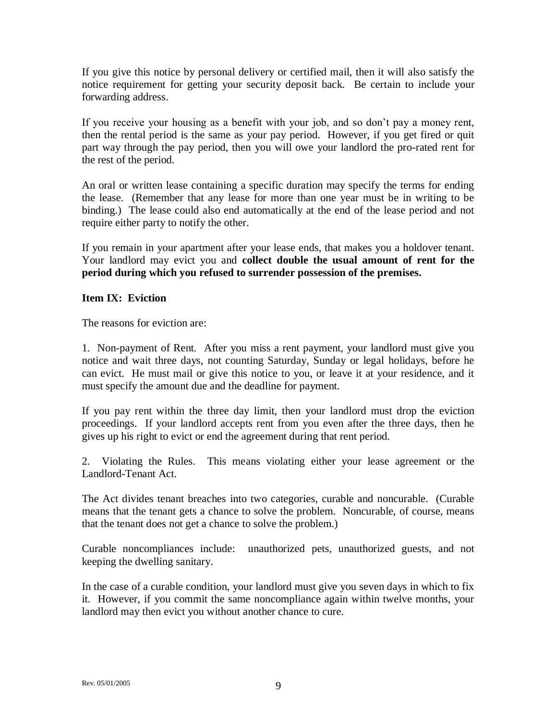If you give this notice by personal delivery or certified mail, then it will also satisfy the notice requirement for getting your security deposit back. Be certain to include your forwarding address.

If you receive your housing as a benefit with your job, and so don't pay a money rent, then the rental period is the same as your pay period. However, if you get fired or quit part way through the pay period, then you will owe your landlord the pro-rated rent for the rest of the period.

An oral or written lease containing a specific duration may specify the terms for ending the lease. (Remember that any lease for more than one year must be in writing to be binding.) The lease could also end automatically at the end of the lease period and not require either party to notify the other.

If you remain in your apartment after your lease ends, that makes you a holdover tenant. Your landlord may evict you and **collect double the usual amount of rent for the period during which you refused to surrender possession of the premises.**

### **Item IX: Eviction**

The reasons for eviction are:

1. Non-payment of Rent. After you miss a rent payment, your landlord must give you notice and wait three days, not counting Saturday, Sunday or legal holidays, before he can evict. He must mail or give this notice to you, or leave it at your residence, and it must specify the amount due and the deadline for payment.

If you pay rent within the three day limit, then your landlord must drop the eviction proceedings. If your landlord accepts rent from you even after the three days, then he gives up his right to evict or end the agreement during that rent period.

2. Violating the Rules. This means violating either your lease agreement or the Landlord-Tenant Act.

The Act divides tenant breaches into two categories, curable and noncurable. (Curable means that the tenant gets a chance to solve the problem. Noncurable, of course, means that the tenant does not get a chance to solve the problem.)

Curable noncompliances include: unauthorized pets, unauthorized guests, and not keeping the dwelling sanitary.

In the case of a curable condition, your landlord must give you seven days in which to fix it. However, if you commit the same noncompliance again within twelve months, your landlord may then evict you without another chance to cure.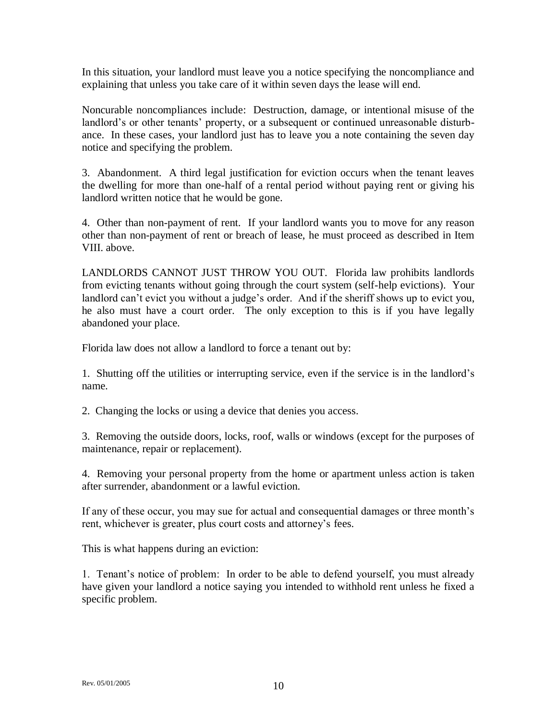In this situation, your landlord must leave you a notice specifying the noncompliance and explaining that unless you take care of it within seven days the lease will end.

Noncurable noncompliances include: Destruction, damage, or intentional misuse of the landlord's or other tenants' property, or a subsequent or continued unreasonable disturbance. In these cases, your landlord just has to leave you a note containing the seven day notice and specifying the problem.

3. Abandonment. A third legal justification for eviction occurs when the tenant leaves the dwelling for more than one-half of a rental period without paying rent or giving his landlord written notice that he would be gone.

4. Other than non-payment of rent. If your landlord wants you to move for any reason other than non-payment of rent or breach of lease, he must proceed as described in Item VIII. above.

LANDLORDS CANNOT JUST THROW YOU OUT. Florida law prohibits landlords from evicting tenants without going through the court system (self-help evictions). Your landlord can't evict you without a judge's order. And if the sheriff shows up to evict you, he also must have a court order. The only exception to this is if you have legally abandoned your place.

Florida law does not allow a landlord to force a tenant out by:

1. Shutting off the utilities or interrupting service, even if the service is in the landlord's name.

2. Changing the locks or using a device that denies you access.

3. Removing the outside doors, locks, roof, walls or windows (except for the purposes of maintenance, repair or replacement).

4. Removing your personal property from the home or apartment unless action is taken after surrender, abandonment or a lawful eviction.

If any of these occur, you may sue for actual and consequential damages or three month's rent, whichever is greater, plus court costs and attorney's fees.

This is what happens during an eviction:

1. Tenant's notice of problem: In order to be able to defend yourself, you must already have given your landlord a notice saying you intended to withhold rent unless he fixed a specific problem.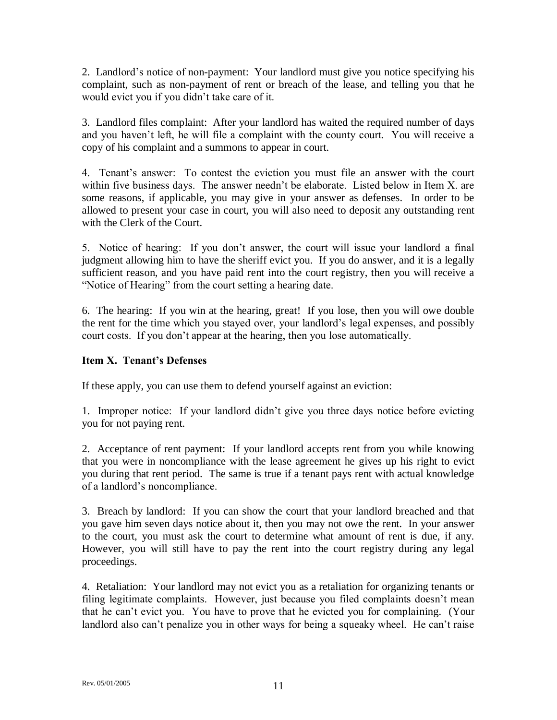2. Landlord's notice of non-payment: Your landlord must give you notice specifying his complaint, such as non-payment of rent or breach of the lease, and telling you that he would evict you if you didn't take care of it.

3. Landlord files complaint: After your landlord has waited the required number of days and you haven't left, he will file a complaint with the county court. You will receive a copy of his complaint and a summons to appear in court.

4. Tenant's answer: To contest the eviction you must file an answer with the court within five business days. The answer needn't be elaborate. Listed below in Item X. are some reasons, if applicable, you may give in your answer as defenses. In order to be allowed to present your case in court, you will also need to deposit any outstanding rent with the Clerk of the Court.

5. Notice of hearing: If you don't answer, the court will issue your landlord a final judgment allowing him to have the sheriff evict you. If you do answer, and it is a legally sufficient reason, and you have paid rent into the court registry, then you will receive a "Notice of Hearing" from the court setting a hearing date.

6. The hearing: If you win at the hearing, great! If you lose, then you will owe double the rent for the time which you stayed over, your landlord's legal expenses, and possibly court costs. If you don't appear at the hearing, then you lose automatically.

## **Item X. Tenant's Defenses**

If these apply, you can use them to defend yourself against an eviction:

1. Improper notice: If your landlord didn't give you three days notice before evicting you for not paying rent.

2. Acceptance of rent payment: If your landlord accepts rent from you while knowing that you were in noncompliance with the lease agreement he gives up his right to evict you during that rent period. The same is true if a tenant pays rent with actual knowledge of a landlord's noncompliance.

3. Breach by landlord: If you can show the court that your landlord breached and that you gave him seven days notice about it, then you may not owe the rent. In your answer to the court, you must ask the court to determine what amount of rent is due, if any. However, you will still have to pay the rent into the court registry during any legal proceedings.

4. Retaliation: Your landlord may not evict you as a retaliation for organizing tenants or filing legitimate complaints. However, just because you filed complaints doesn't mean that he can't evict you. You have to prove that he evicted you for complaining. (Your landlord also can't penalize you in other ways for being a squeaky wheel. He can't raise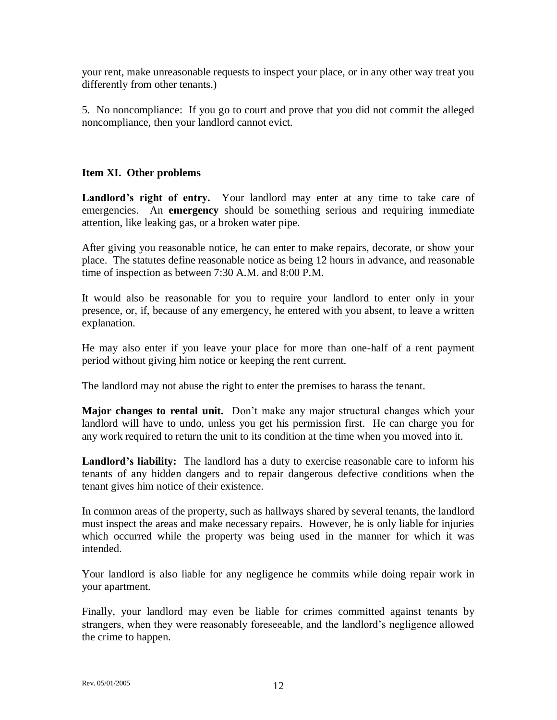your rent, make unreasonable requests to inspect your place, or in any other way treat you differently from other tenants.)

5. No noncompliance: If you go to court and prove that you did not commit the alleged noncompliance, then your landlord cannot evict.

## **Item XI. Other problems**

Landlord's right of entry. Your landlord may enter at any time to take care of emergencies. An **emergency** should be something serious and requiring immediate attention, like leaking gas, or a broken water pipe.

After giving you reasonable notice, he can enter to make repairs, decorate, or show your place. The statutes define reasonable notice as being 12 hours in advance, and reasonable time of inspection as between 7:30 A.M. and 8:00 P.M.

It would also be reasonable for you to require your landlord to enter only in your presence, or, if, because of any emergency, he entered with you absent, to leave a written explanation.

He may also enter if you leave your place for more than one-half of a rent payment period without giving him notice or keeping the rent current.

The landlord may not abuse the right to enter the premises to harass the tenant.

**Major changes to rental unit.** Don't make any major structural changes which your landlord will have to undo, unless you get his permission first. He can charge you for any work required to return the unit to its condition at the time when you moved into it.

**Landlord's liability:** The landlord has a duty to exercise reasonable care to inform his tenants of any hidden dangers and to repair dangerous defective conditions when the tenant gives him notice of their existence.

In common areas of the property, such as hallways shared by several tenants, the landlord must inspect the areas and make necessary repairs. However, he is only liable for injuries which occurred while the property was being used in the manner for which it was intended.

Your landlord is also liable for any negligence he commits while doing repair work in your apartment.

Finally, your landlord may even be liable for crimes committed against tenants by strangers, when they were reasonably foreseeable, and the landlord's negligence allowed the crime to happen.